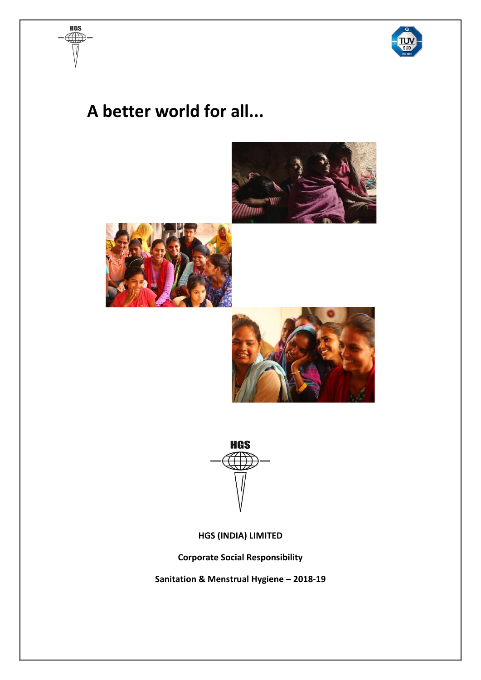

# **A better world for all...**

**HGS** 









**HGS (INDIA) LIMITED**

**Corporate Social Responsibility**

**Sanitation & Menstrual Hygiene – 2018-19**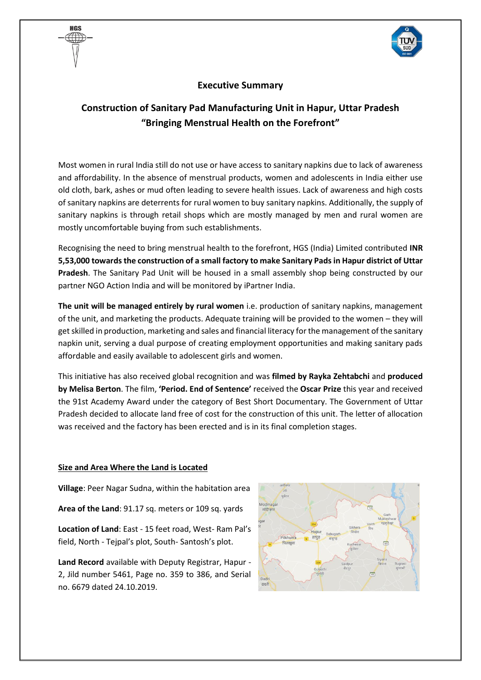

### **Executive Summary**

## **Construction of Sanitary Pad Manufacturing Unit in Hapur, Uttar Pradesh "Bringing Menstrual Health on the Forefront"**

Most women in rural India still do not use or have access to sanitary napkins due to lack of awareness and affordability. In the absence of menstrual products, women and adolescents in India either use old cloth, bark, ashes or mud often leading to severe health issues. Lack of awareness and high costs of sanitary napkins are deterrents for rural women to buy sanitary napkins. Additionally, the supply of sanitary napkins is through retail shops which are mostly managed by men and rural women are mostly uncomfortable buying from such establishments.

Recognising the need to bring menstrual health to the forefront, HGS (India) Limited contributed **INR 5,53,000 towards the construction of a small factory to make Sanitary Padsin Hapur district of Uttar Pradesh**. The Sanitary Pad Unit will be housed in a small assembly shop being constructed by our partner NGO Action India and will be monitored by iPartner India.

**The unit will be managed entirely by rural women** i.e. production of sanitary napkins, management of the unit, and marketing the products. Adequate training will be provided to the women – they will get skilled in production, marketing and sales and financial literacy for the management of the sanitary napkin unit, serving a dual purpose of creating employment opportunities and making sanitary pads affordable and easily available to adolescent girls and women.

This initiative has also received global recognition and was **filmed by Rayka Zehtabchi** and **produced by Melisa Berton**. The film, **'Period. End of Sentence'** received the **Oscar Prize** this year and received the 91st Academy Award under the category of Best Short Documentary. The Government of Uttar Pradesh decided to allocate land free of cost for the construction of this unit. The letter of allocation was received and the factory has been erected and is in its final completion stages.

#### **Size and Area Where the Land is Located**

HAS

**Village**: Peer Nagar Sudna, within the habitation area

**Area of the Land**: 91.17 sq. meters or 109 sq. yards

**Location of Land**: East - 15 feet road, West- Ram Pal's field, North - Tejpal's plot, South- Santosh's plot.

**Land Record** available with Deputy Registrar, Hapur - 2, Jild number 5461, Page no. 359 to 386, and Serial no. 6679 dated 24.10.2019.

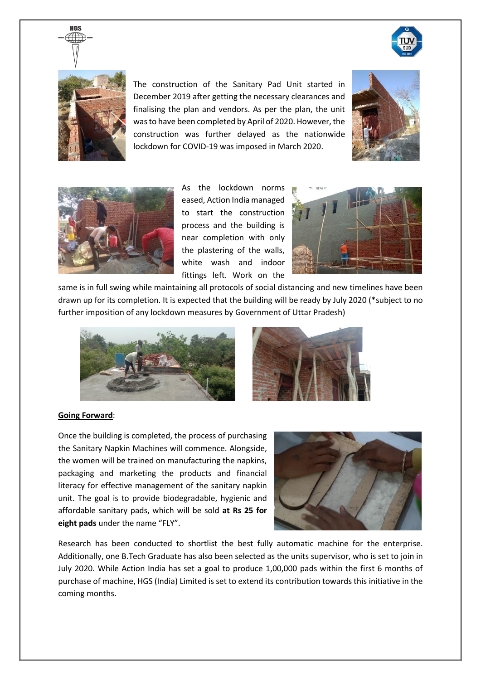



**HGS** 

The construction of the Sanitary Pad Unit started in December 2019 after getting the necessary clearances and finalising the plan and vendors. As per the plan, the unit was to have been completed by April of 2020. However, the construction was further delayed as the nationwide lockdown for COVID-19 was imposed in March 2020.





As the lockdown norms eased, Action India managed to start the construction process and the building is near completion with only the plastering of the walls, white wash and indoor fittings left. Work on the



same is in full swing while maintaining all protocols of social distancing and new timelines have been drawn up for its completion. It is expected that the building will be ready by July 2020 (\*subject to no further imposition of any lockdown measures by Government of Uttar Pradesh)





#### **Going Forward**:

Once the building is completed, the process of purchasing the Sanitary Napkin Machines will commence. Alongside, the women will be trained on manufacturing the napkins, packaging and marketing the products and financial literacy for effective management of the sanitary napkin unit. The goal is to provide biodegradable, hygienic and affordable sanitary pads, which will be sold **at Rs 25 for eight pads** under the name "FLY".



Research has been conducted to shortlist the best fully automatic machine for the enterprise. Additionally, one B.Tech Graduate has also been selected as the units supervisor, who is set to join in July 2020. While Action India has set a goal to produce 1,00,000 pads within the first 6 months of purchase of machine, HGS (India) Limited is set to extend its contribution towards this initiative in the coming months.